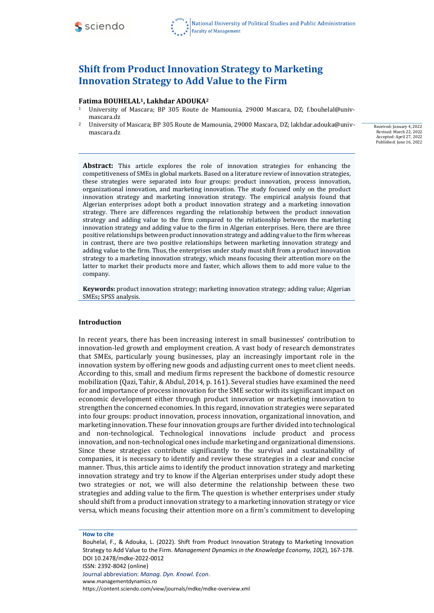

# **Shift from Product Innovation Strategy to Marketing Innovation Strategy to Add Value to the Firm**

#### **Fatima BOUHELAL1, Lakhdar ADOUKA<sup>2</sup>**

- <sup>1</sup> University of Mascara; BP 305 Route de Mamounia, 29000 Mascara, DZ; f.bouhelal@univmascara.dz
- <sup>2</sup> University of Mascara; BP 305 Route de Mamounia, 29000 Mascara, DZ; lakhdar.adouka@univmascara.dz

Received: January 4, 2022 Revised: March 22, 2022 Accepted: April 27, 2022 Published: June 16, 2022

**Abstract:** This article explores the role of innovation strategies for enhancing the competitiveness of SMEs in global markets. Based on a literature review of innovation strategies, these strategies were separated into four groups: product innovation, process innovation, organizational innovation, and marketing innovation. The study focused only on the product innovation strategy and marketing innovation strategy. The empirical analysis found that Algerian enterprises adopt both a product innovation strategy and a marketing innovation strategy. There are differences regarding the relationship between the product innovation strategy and adding value to the firm compared to the relationship between the marketing innovation strategy and adding value to the firm in Algerian enterprises. Here, there are three positive relationships between product innovation strategy and adding value to the firm whereas in contrast, there are two positive relationships between marketing innovation strategy and adding value to the firm. Thus, the enterprises under study must shift from a product innovation strategy to a marketing innovation strategy, which means focusing their attention more on the latter to market their products more and faster, which allows them to add more value to the company.

**Keywords:** product innovation strategy; marketing innovation strategy; adding value; Algerian SMEs**;** SPSS analysis.

#### **Introduction**

In recent years, there has been increasing interest in small businesses' contribution to innovation-led growth and employment creation. A vast body of research demonstrates that SMEs, particularly young businesses, play an increasingly important role in the innovation system by offering new goods and adjusting current ones to meet client needs. According to this, small and medium firms represent the backbone of domestic resource mobilization (Qazi, Tahir, & Abdul, 2014, p. 161). Several studies have examined the need for and importance of process innovation for the SME sector with its significant impact on economic development either through product innovation or marketing innovation to strengthen the concerned economies. In this regard, innovation strategies were separated into four groups: product innovation, process innovation, organizational innovation, and marketing innovation. These four innovation groups are further divided into technological and non-technological. Technological innovations include product and process innovation, and non-technological ones include marketing and organizational dimensions. Since these strategies contribute significantly to the survival and sustainability of companies, it is necessary to identify and review these strategies in a clear and concise manner. Thus, this article aims to identify the product innovation strategy and marketing innovation strategy and try to know if the Algerian enterprises under study adopt these two strategies or not, we will also determine the relationship between these two strategies and adding value to the firm. The question is whether enterprises under study should shift from a product innovation strategy to a marketing innovation strategy or vice versa, which means focusing their attention more on a firm's commitment to developing

**How to cite**

Bouhelal, F., & Adouka, L. (2022). Shift from Product Innovation Strategy to Marketing Innovation Strategy to Add Value to the Firm. *Management Dynamics in the Knowledge Economy, 10*(2), 167-178. DOI 10.2478/mdke-2022-0012 ISSN: 2392-8042 (online) Journal abbreviation: *Manag. Dyn. Knowl. Econ*.

[www.managementdynamics.ro](http://www.managementdynamics.ro/) <https://content.sciendo.com/view/journals/mdke/mdke-overview.xml>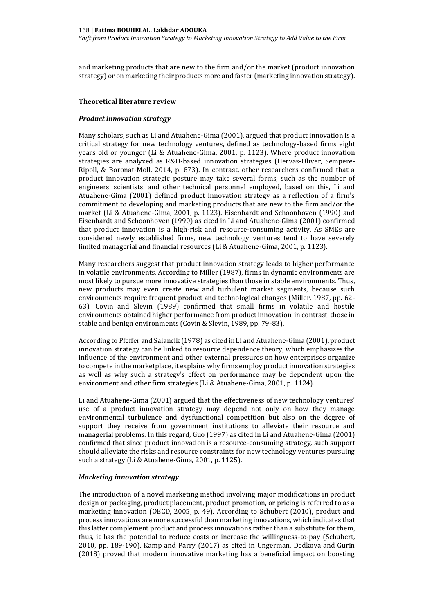and marketing products that are new to the firm and/or the market (product innovation strategy) or on marketing their products more and faster (marketing innovation strategy).

#### **Theoretical literature review**

#### *Product innovation strategy*

Many scholars, such as Li and Atuahene-Gima (2001), argued that product innovation is a critical strategy for new technology ventures, defined as technology-based firms eight years old or younger (Li & Atuahene-Gima, 2001, p. 1123). Where product innovation strategies are analyzed as R&D-based innovation strategies (Hervas-Oliver, Sempere-Ripoll, & Boronat-Moll, 2014, p. 873). In contrast, other researchers confirmed that a product innovation strategic posture may take several forms, such as the number of engineers, scientists, and other technical personnel employed, based on this, Li and Atuahene-Gima (2001) defined product innovation strategy as a reflection of a firm's commitment to developing and marketing products that are new to the firm and/or the market (Li & Atuahene-Gima, 2001, p. 1123). Eisenhardt and Schoonhoven (1990) and Eisenhardt and Schoonhoven (1990) as cited in Li and Atuahene-Gima (2001) confirmed that product innovation is a high-risk and resource-consuming activity. As SMEs are considered newly established firms, new technology ventures tend to have severely limited managerial and financial resources (Li & Atuahene-Gima, 2001, p. 1123).

Many researchers suggest that product innovation strategy leads to higher performance in volatile environments. According to Miller (1987), firms in dynamic environments are most likely to pursue more innovative strategies than those in stable environments. Thus, new products may even create new and turbulent market segments, because such environments require frequent product and technological changes (Miller, 1987, pp. 62- 63). Covin and Slevin (1989) confirmed that small firms in volatile and hostile environments obtained higher performance from product innovation, in contrast, those in stable and benign environments (Covin & Slevin, 1989, pp. 79-83).

According to Pfeffer and Salancik (1978) as cited in Li and Atuahene-Gima (2001), product innovation strategy can be linked to resource dependence theory, which emphasizes the influence of the environment and other external pressures on how enterprises organize to compete in the marketplace, it explains why firms employ product innovation strategies as well as why such a strategy's effect on performance may be dependent upon the environment and other firm strategies (Li & Atuahene-Gima, 2001, p. 1124).

Li and Atuahene-Gima (2001) argued that the effectiveness of new technology ventures' use of a product innovation strategy may depend not only on how they manage environmental turbulence and dysfunctional competition but also on the degree of support they receive from government institutions to alleviate their resource and managerial problems. In this regard, Guo (1997) as cited in Li and Atuahene-Gima (2001) confirmed that since product innovation is a resource-consuming strategy, such support should alleviate the risks and resource constraints for new technology ventures pursuing such a strategy (Li & Atuahene-Gima, 2001, p. 1125).

## *Marketing innovation strategy*

The introduction of a novel marketing method involving major modifications in product design or packaging, product placement, product promotion, or pricing is referred to as a marketing innovation (OECD, 2005, p. 49). According to Schubert (2010), product and process innovations are more successful than marketing innovations, which indicates that this latter complement product and process innovations rather than a substitute for them, thus, it has the potential to reduce costs or increase the willingness-to-pay (Schubert, 2010, pp. 189-190). Kamp and Parry (2017) as cited in Ungerman, Dedkova and Gurin (2018) proved that modern innovative marketing has a beneficial impact on boosting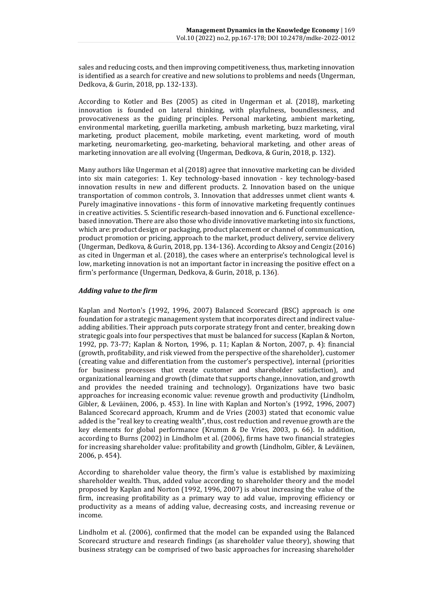sales and reducing costs, and then improving competitiveness, thus, marketing innovation is identified as a search for creative and new solutions to problems and needs (Ungerman, Dedkova, & Gurin, 2018, pp. 132-133).

According to Kotler and Bes (2005) as cited in Ungerman et al. (2018), marketing innovation is founded on lateral thinking, with playfulness, boundlessness, and provocativeness as the guiding principles. Personal marketing, ambient marketing, environmental marketing, guerilla marketing, ambush marketing, buzz marketing, viral marketing, product placement, mobile marketing, event marketing, word of mouth marketing, neuromarketing, geo-marketing, behavioral marketing, and other areas of marketing innovation are all evolving (Ungerman, Dedkova, & Gurin, 2018, p. 132).

Many authors like Ungerman et al (2018) agree that innovative marketing can be divided into six main categories: 1. Key technology-based innovation - key technology-based innovation results in new and different products. 2. Innovation based on the unique transportation of common controls, 3. Innovation that addresses unmet client wants 4. Purely imaginative innovations - this form of innovative marketing frequently continues in creative activities. 5. Scientific research-based innovation and 6. Functional excellencebased innovation. There are also those who divide innovative marketing into six functions, which are: product design or packaging, product placement or channel of communication, product promotion or pricing, approach to the market, product delivery, service delivery (Ungerman, Dedkova, & Gurin, 2018, pp. 134-136). According to Aksoy and Cengiz (2016) as cited in Ungerman et al. (2018), the cases where an enterprise's technological level is low, marketing innovation is not an important factor in increasing the positive effect on a firm's performance (Ungerman, Dedkova, & Gurin, 2018, p. 136).

## *Adding value to the firm*

Kaplan and Norton's (1992, 1996, 2007) Balanced Scorecard (BSC) approach is one foundation for a strategic management system that incorporates direct and indirect valueadding abilities. Their approach puts corporate strategy front and center, breaking down strategic goals into four perspectives that must be balanced for success (Kaplan & Norton, 1992, pp. 73-77; Kaplan & Norton, 1996, p. 11; Kaplan & Norton, 2007, p. 4): financial (growth, profitability, and risk viewed from the perspective of the shareholder), customer (creating value and differentiation from the customer's perspective), internal (priorities for business processes that create customer and shareholder satisfaction), and organizational learning and growth (climate that supports change, innovation, and growth and provides the needed training and technology). Organizations have two basic approaches for increasing economic value: revenue growth and productivity (Lindholm, Gibler, & Leväinen, 2006, p. 453). In line with Kaplan and Norton's (1992, 1996, 2007) Balanced Scorecard approach, Krumm and de Vries (2003) stated that economic value added is the "real key to creating wealth", thus, cost reduction and revenue growth are the key elements for global performance (Krumm & De Vries, 2003, p. 66). In addition, according to Burns (2002) in Lindholm et al. (2006), firms have two financial strategies for increasing shareholder value: profitability and growth (Lindholm, Gibler, & Leväinen, 2006, p. 454).

According to shareholder value theory, the firm's value is established by maximizing shareholder wealth. Thus, added value according to shareholder theory and the model proposed by Kaplan and Norton (1992, 1996, 2007) is about increasing the value of the firm, increasing profitability as a primary way to add value, improving efficiency or productivity as a means of adding value, decreasing costs, and increasing revenue or income.

Lindholm et al. (2006), confirmed that the model can be expanded using the Balanced Scorecard structure and research findings (as shareholder value theory), showing that business strategy can be comprised of two basic approaches for increasing shareholder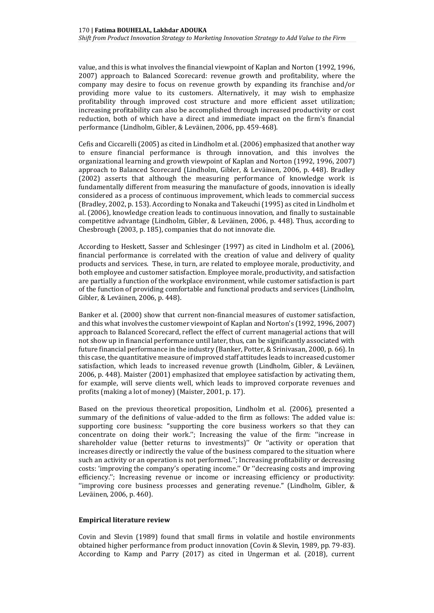value, and this is what involves the financial viewpoint of Kaplan and Norton (1992, 1996, 2007) approach to Balanced Scorecard: revenue growth and profitability, where the company may desire to focus on revenue growth by expanding its franchise and/or providing more value to its customers. Alternatively, it may wish to emphasize profitability through improved cost structure and more efficient asset utilization; increasing profitability can also be accomplished through increased productivity or cost reduction, both of which have a direct and immediate impact on the firm's financial performance (Lindholm, Gibler, & Leväinen, 2006, pp. 459-468).

Cefis and Ciccarelli (2005) as cited in Lindholm et al. (2006) emphasized that another way to ensure financial performance is through innovation, and this involves the organizational learning and growth viewpoint of Kaplan and Norton (1992, 1996, 2007) approach to Balanced Scorecard (Lindholm, Gibler, & Leväinen, 2006, p. 448). Bradley (2002) asserts that although the measuring performance of knowledge work is fundamentally different from measuring the manufacture of goods, innovation is ideally considered as a process of continuous improvement, which leads to commercial success (Bradley, 2002, p. 153). According to Nonaka and Takeuchi (1995) as cited in Lindholm et al. (2006), knowledge creation leads to continuous innovation, and finally to sustainable competitive advantage (Lindholm, Gibler, & Leväinen, 2006, p. 448). Thus, according to Chesbrough (2003, p. 185), companies that do not innovate die.

According to Heskett, Sasser and Schlesinger (1997) as cited in Lindholm et al. (2006), financial performance is correlated with the creation of value and delivery of quality products and services. These, in turn, are related to employee morale, productivity, and both employee and customer satisfaction. Employee morale, productivity, and satisfaction are partially a function of the workplace environment, while customer satisfaction is part of the function of providing comfortable and functional products and services (Lindholm, Gibler, & Leväinen, 2006, p. 448).

Banker et al. (2000) show that current non-financial measures of customer satisfaction, and this what involves the customer viewpoint of Kaplan and Norton's (1992, 1996, 2007) approach to Balanced Scorecard, reflect the effect of current managerial actions that will not show up in financial performance until later, thus, can be significantly associated with future financial performance in the industry (Banker, Potter, & Srinivasan, 2000, p. 66). In this case, the quantitative measure of improved staff attitudes leads to increased customer satisfaction, which leads to increased revenue growth (Lindholm, Gibler, & Leväinen, 2006, p. 448). Maister (2001) emphasized that employee satisfaction by activating them, for example, will serve clients well, which leads to improved corporate revenues and profits (making a lot of money) (Maister, 2001, p. 17).

Based on the previous theoretical proposition, Lindholm et al. (2006), presented a summary of the definitions of value-added to the firm as follows: The added value is: supporting core business: ''supporting the core business workers so that they can concentrate on doing their work.''; Increasing the value of the firm: ''increase in shareholder value (better returns to investments)'' Or ''activity or operation that increases directly or indirectly the value of the business compared to the situation where such an activity or an operation is not performed.''; Increasing profitability or decreasing costs: 'improving the company's operating income.'' Or ''decreasing costs and improving efficiency.''; Increasing revenue or income or increasing efficiency or productivity: ''improving core business processes and generating revenue.'' (Lindholm, Gibler, & Leväinen, 2006, p. 460).

## **Empirical literature review**

Covin and Slevin (1989) found that small firms in volatile and hostile environments obtained higher performance from product innovation (Covin & Slevin, 1989, pp. 79-83). According to Kamp and Parry (2017) as cited in Ungerman et al. (2018), current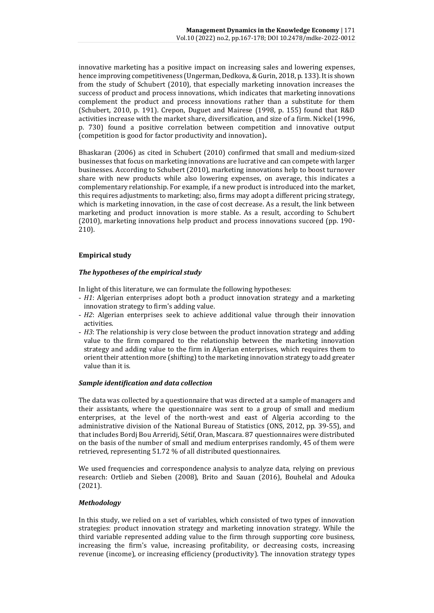innovative marketing has a positive impact on increasing sales and lowering expenses, hence improving competitiveness (Ungerman, Dedkova, & Gurin, 2018, p. 133). It is shown from the study of Schubert (2010), that especially marketing innovation increases the success of product and process innovations, which indicates that marketing innovations complement the product and process innovations rather than a substitute for them (Schubert, 2010, p. 191). Crepon, Duguet and Mairese (1998, p. 155) found that R&D activities increase with the market share, diversification, and size of a firm. Nickel (1996, p. 730) found a positive correlation between competition and innovative output (competition is good for factor productivity and innovation)**.** 

Bhaskaran (2006) as cited in Schubert (2010) confirmed that small and medium-sized businesses that focus on marketing innovations are lucrative and can compete with larger businesses. According to Schubert (2010), marketing innovations help to boost turnover share with new products while also lowering expenses, on average, this indicates a complementary relationship. For example, if a new product is introduced into the market, this requires adjustments to marketing; also, firms may adopt a different pricing strategy, which is marketing innovation, in the case of cost decrease. As a result, the link between marketing and product innovation is more stable. As a result, according to Schubert (2010), marketing innovations help product and process innovations succeed (pp. 190- 210).

# **Empirical study**

# *The hypotheses of the empirical study*

In light of this literature, we can formulate the following hypotheses:

- *H1*: Algerian enterprises adopt both a product innovation strategy and a marketing innovation strategy to firm's adding value.
- *H2*: Algerian enterprises seek to achieve additional value through their innovation activities.
- *H3*: The relationship is very close between the product innovation strategy and adding value to the firm compared to the relationship between the marketing innovation strategy and adding value to the firm in Algerian enterprises, which requires them to orient their attention more (shifting) to the marketing innovation strategy to add greater value than it is.

## *Sample identification and data collection*

The data was collected by a questionnaire that was directed at a sample of managers and their assistants, where the questionnaire was sent to a group of small and medium enterprises, at the level of the north-west and east of Algeria according to the administrative division of the National Bureau of Statistics (ONS, 2012, pp. 39-55), and that includes Bordj Bou Arreridj, Sétif, Oran, Mascara. 87 questionnaires were distributed on the basis of the number of small and medium enterprises randomly, 45 of them were retrieved, representing 51.72 % of all distributed questionnaires.

We used frequencies and correspondence analysis to analyze data, relying on previous research: Ortlieb and Sieben (2008), Brito and Sauan (2016), Bouhelal and Adouka (2021).

# *Methodology*

In this study, we relied on a set of variables, which consisted of two types of innovation strategies: product innovation strategy and marketing innovation strategy. While the third variable represented adding value to the firm through supporting core business, increasing the firm's value, increasing profitability, or decreasing costs, increasing revenue (income), or increasing efficiency (productivity). The innovation strategy types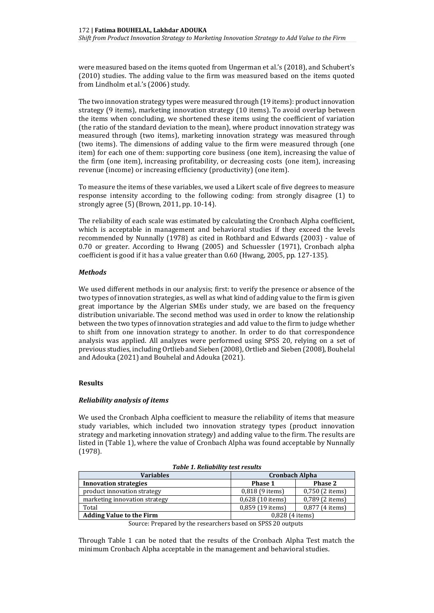were measured based on the items quoted from Ungerman et al.'s (2018), and Schubert's (2010) studies. The adding value to the firm was measured based on the items quoted from Lindholm et al.'s (2006) study.

The two innovation strategy types were measured through (19 items): product innovation strategy (9 items), marketing innovation strategy (10 items). To avoid overlap between the items when concluding, we shortened these items using the coefficient of variation (the ratio of the standard deviation to the mean), where product innovation strategy was measured through (two items), marketing innovation strategy was measured through (two items). The dimensions of adding value to the firm were measured through (one item) for each one of them: supporting core business (one item), increasing the value of the firm (one item), increasing profitability, or decreasing costs (one item), increasing revenue (income) or increasing efficiency (productivity) (one item).

To measure the items of these variables, we used a Likert scale of five degrees to measure response intensity according to the following coding: from strongly disagree (1) to strongly agree (5) (Brown, 2011, pp. 10-14).

The reliability of each scale was estimated by calculating the Cronbach Alpha coefficient, which is acceptable in management and behavioral studies if they exceed the levels recommended by Nunnally (1978) as cited in Rothbard and Edwards (2003) - value of 0.70 or greater. According to Hwang (2005) and Schuessler (1971), Cronbach alpha coefficient is good if it has a value greater than 0.60 (Hwang, 2005, pp. 127-135).

# *Methods*

We used different methods in our analysis; first: to verify the presence or absence of the two types of innovation strategies, as well as what kind of adding value to the firm is given great importance by the Algerian SMEs under study, we are based on the frequency distribution univariable. The second method was used in order to know the relationship between the two types of innovation strategies and add value to the firm to judge whether to shift from one innovation strategy to another. In order to do that correspondence analysis was applied. All analyzes were performed using SPSS 20, relying on a set of previous studies, including Ortlieb and Sieben (2008), Ortlieb and Sieben (2008), Bouhelal and Adouka (2021) and Bouhelal and Adouka (2021).

# **Results**

# *Reliability analysis of items*

We used the Cronbach Alpha coefficient to measure the reliability of items that measure study variables, which included two innovation strategy types (product innovation strategy and marketing innovation strategy) and adding value to the firm. The results are listed in (Table 1), where the value of Cronbach Alpha was found acceptable by Nunnally (1978).

| <b>Variables</b>                                                                              | <b>Cronbach Alpha</b> |                 |
|-----------------------------------------------------------------------------------------------|-----------------------|-----------------|
| <b>Innovation strategies</b>                                                                  | Phase 1               | <b>Phase 2</b>  |
| product innovation strategy                                                                   | 0,818 (9 items)       | 0,750 (2 items) |
| marketing innovation strategy                                                                 | 0,628 (10 items)      | 0,789 (2 items) |
| Total                                                                                         | 0,859 (19 items)      | 0,877 (4 items) |
| <b>Adding Value to the Firm</b>                                                               | $0.828$ (4 items)     |                 |
| .<br>$\sim$<br>$\sim$<br>$\sim$ $\sim$ $\sim$ $\sim$ $\sim$ $\sim$<br>$- - - - - -$<br>$\sim$ |                       |                 |

*Table 1. Reliability test results*

Through Table 1 can be noted that the results of the Cronbach Alpha Test match the minimum Cronbach Alpha acceptable in the management and behavioral studies.

Source: Prepared by the researchers based on SPSS 20 outputs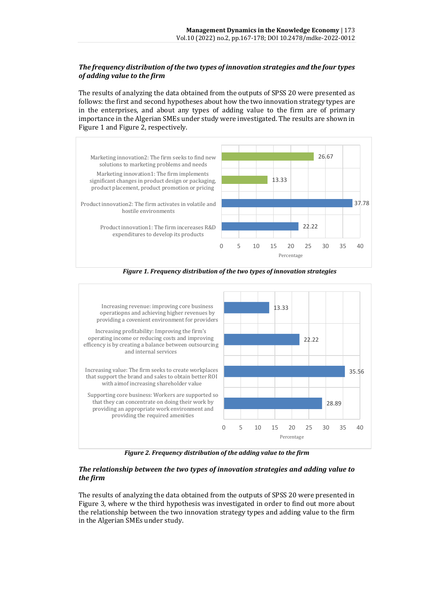# *The frequency distribution of the two types of innovation strategies and the four types of adding value to the firm*

The results of analyzing the data obtained from the outputs of SPSS 20 were presented as follows: the first and second hypotheses about how the two innovation strategy types are in the enterprises, and about any types of adding value to the firm are of primary importance in the Algerian SMEs under study were investigated. The results are shown in Figure 1 and Figure 2, respectively.



*Figure 1. Frequency distribution of the two types of innovation strategies*



*Figure 2. Frequency distribution of the adding value to the firm*

# *The relationship between the two types of innovation strategies and adding value to the firm*

The results of analyzing the data obtained from the outputs of SPSS 20 were presented in Figure 3, where w the third hypothesis was investigated in order to find out more about the relationship between the two innovation strategy types and adding value to the firm in the Algerian SMEs under study.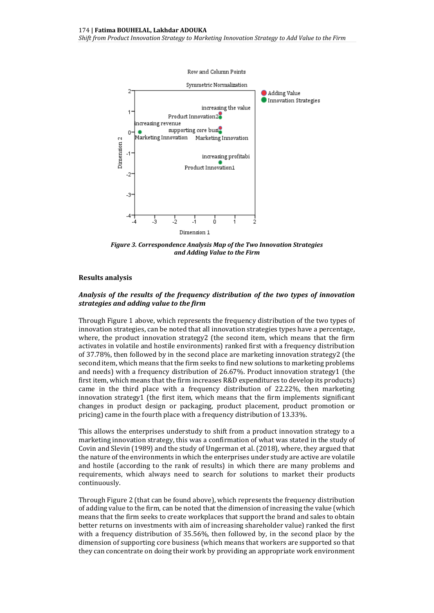*Shift from Product Innovation Strategy to Marketing Innovation Strategy to Add Value to the Firm*



*Figure 3. Correspondence Analysis Map of the Two Innovation Strategies and Adding Value to the Firm*

#### **Results analysis**

#### *Analysis of the results of the frequency distribution of the two types of innovation strategies and adding value to the firm*

Through Figure 1 above, which represents the frequency distribution of the two types of innovation strategies, can be noted that all innovation strategies types have a percentage, where, the product innovation strategy2 (the second item, which means that the firm activates in volatile and hostile environments) ranked first with a frequency distribution of 37.78%, then followed by in the second place are marketing innovation strategy2 (the second item, which means that the firm seeks to find new solutions to marketing problems and needs) with a frequency distribution of 26.67%. Product innovation strategy1 (the first item, which means that the firm increases R&D expenditures to develop its products) came in the third place with a frequency distribution of 22.22%, then marketing innovation strategy1 (the first item, which means that the firm implements significant changes in product design or packaging, product placement, product promotion or pricing) came in the fourth place with a frequency distribution of 13.33%.

This allows the enterprises understudy to shift from a product innovation strategy to a marketing innovation strategy, this was a confirmation of what was stated in the study of Covin and Slevin (1989) and the study of Ungerman et al. (2018), where, they argued that the nature of the environments in which the enterprises under study are active are volatile and hostile (according to the rank of results) in which there are many problems and requirements, which always need to search for solutions to market their products continuously.

Through Figure 2 (that can be found above), which represents the frequency distribution of adding value to the firm, can be noted that the dimension of increasing the value (which means that the firm seeks to create workplaces that support the brand and sales to obtain better returns on investments with aim of increasing shareholder value) ranked the first with a frequency distribution of 35.56%, then followed by, in the second place by the dimension of supporting core business (which means that workers are supported so that they can concentrate on doing their work by providing an appropriate work environment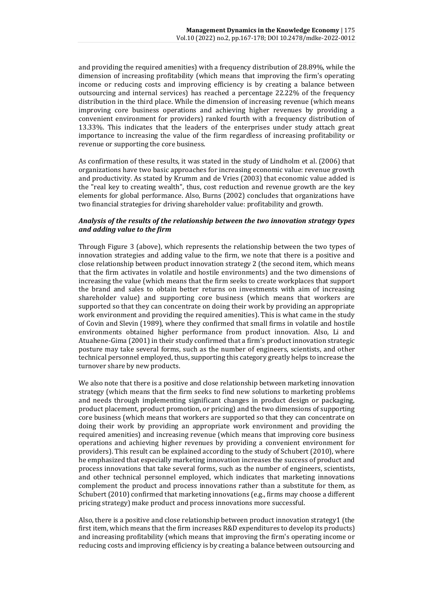and providing the required amenities) with a frequency distribution of 28.89%, while the dimension of increasing profitability (which means that improving the firm's operating income or reducing costs and improving efficiency is by creating a balance between outsourcing and internal services) has reached a percentage 22.22% of the frequency distribution in the third place. While the dimension of increasing revenue (which means improving core business operations and achieving higher revenues by providing a convenient environment for providers) ranked fourth with a frequency distribution of 13.33%. This indicates that the leaders of the enterprises under study attach great importance to increasing the value of the firm regardless of increasing profitability or revenue or supporting the core business.

As confirmation of these results, it was stated in the study of Lindholm et al. (2006) that organizations have two basic approaches for increasing economic value: revenue growth and productivity. As stated by Krumm and de Vries (2003) that economic value added is the "real key to creating wealth", thus, cost reduction and revenue growth are the key elements for global performance. Also, Burns (2002) concludes that organizations have two financial strategies for driving shareholder value: profitability and growth.

# *Analysis of the results of the relationship between the two innovation strategy types and adding value to the firm*

Through Figure 3 (above), which represents the relationship between the two types of innovation strategies and adding value to the firm, we note that there is a positive and close relationship between product innovation strategy 2 (the second item, which means that the firm activates in volatile and hostile environments) and the two dimensions of increasing the value (which means that the firm seeks to create workplaces that support the brand and sales to obtain better returns on investments with aim of increasing shareholder value) and supporting core business (which means that workers are supported so that they can concentrate on doing their work by providing an appropriate work environment and providing the required amenities). This is what came in the study of Covin and Slevin (1989), where they confirmed that small firms in volatile and hostile environments obtained higher performance from product innovation. Also, Li and Atuahene-Gima (2001) in their study confirmed that a firm's product innovation strategic posture may take several forms, such as the number of engineers, scientists, and other technical personnel employed, thus, supporting this category greatly helps to increase the turnover share by new products.

We also note that there is a positive and close relationship between marketing innovation strategy (which means that the firm seeks to find new solutions to marketing problems and needs through implementing significant changes in product design or packaging, product placement, product promotion, or pricing) and the two dimensions of supporting core business (which means that workers are supported so that they can concentrate on doing their work by providing an appropriate work environment and providing the required amenities) and increasing revenue (which means that improving core business operations and achieving higher revenues by providing a convenient environment for providers). This result can be explained according to the study of Schubert (2010), where he emphasized that especially marketing innovation increases the success of product and process innovations that take several forms, such as the number of engineers, scientists, and other technical personnel employed, which indicates that marketing innovations complement the product and process innovations rather than a substitute for them, as Schubert (2010) confirmed that marketing innovations (e.g., firms may choose a different pricing strategy) make product and process innovations more successful.

Also, there is a positive and close relationship between product innovation strategy1 (the first item, which means that the firm increases R&D expenditures to develop its products) and increasing profitability (which means that improving the firm's operating income or reducing costs and improving efficiency is by creating a balance between outsourcing and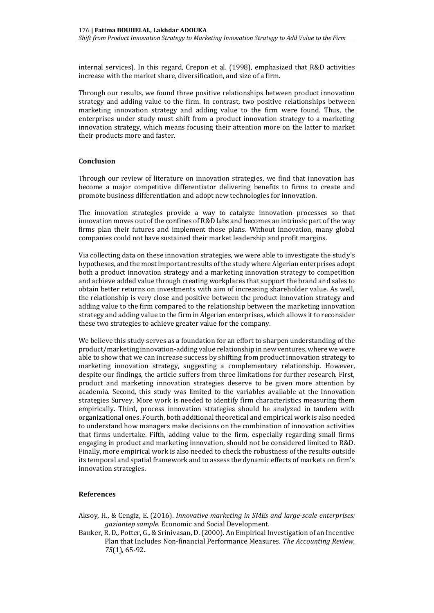internal services). In this regard, Crepon et al. (1998), emphasized that R&D activities increase with the market share, diversification, and size of a firm.

Through our results, we found three positive relationships between product innovation strategy and adding value to the firm. In contrast, two positive relationships between marketing innovation strategy and adding value to the firm were found. Thus, the enterprises under study must shift from a product innovation strategy to a marketing innovation strategy, which means focusing their attention more on the latter to market their products more and faster.

## **Conclusion**

Through our review of literature on innovation strategies, we find that innovation has become a major competitive differentiator delivering benefits to firms to create and promote business differentiation and adopt new technologies for innovation.

The innovation strategies provide a way to catalyze innovation processes so that innovation moves out of the confines of R&D labs and becomes an intrinsic part of the way firms plan their futures and implement those plans. Without innovation, many global companies could not have sustained their market leadership and profit margins.

Via collecting data on these innovation strategies, we were able to investigate the study's hypotheses, and the most important results of the study where Algerian enterprises adopt both a product innovation strategy and a marketing innovation strategy to competition and achieve added value through creating workplaces that support the brand and sales to obtain better returns on investments with aim of increasing shareholder value. As well, the relationship is very close and positive between the product innovation strategy and adding value to the firm compared to the relationship between the marketing innovation strategy and adding value to the firm in Algerian enterprises, which allows it to reconsider these two strategies to achieve greater value for the company.

We believe this study serves as a foundation for an effort to sharpen understanding of the product/marketing innovation-adding value relationship in new ventures, where we were able to show that we can increase success by shifting from product innovation strategy to marketing innovation strategy, suggesting a complementary relationship. However, despite our findings, the article suffers from three limitations for further research. First, product and marketing innovation strategies deserve to be given more attention by academia. Second, this study was limited to the variables available at the Innovation strategies Survey. More work is needed to identify firm characteristics measuring them empirically. Third, process innovation strategies should be analyzed in tandem with organizational ones. Fourth, both additional theoretical and empirical work is also needed to understand how managers make decisions on the combination of innovation activities that firms undertake. Fifth, adding value to the firm, especially regarding small firms engaging in product and marketing innovation, should not be considered limited to R&D. Finally, more empirical work is also needed to check the robustness of the results outside its temporal and spatial framework and to assess the dynamic effects of markets on firm's innovation strategies.

#### **References**

- Aksoy, H., & Cengiz, E. (2016). *Innovative marketing in SMEs and large-scale enterprises: gaziantep sample.* Economic and Social Development.
- Banker, R. D., Potter, G., & Srinivasan, D. (2000). An Empirical Investigation of an Incentive Plan that Includes Non-financial Performance Measures. *The Accounting Review, 75*(1), 65-92.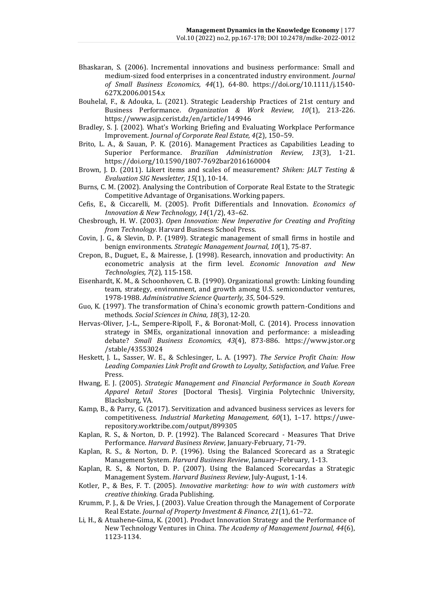- Bhaskaran, S. (2006). Incremental innovations and business performance: Small and medium-sized food enterprises in a concentrated industry environment. *Journal of Small Business Economics, 44*(1), 64-80. https://doi.org/10.1111/j.1540- 627X.2006.00154.x
- Bouhelal, F., & Adouka, L. (2021). Strategic Leadership Practices of 21st century and Business Performance. *Organization & Work Review, 10*(1), 213-226. https://www.asjp.cerist.dz/en/article/149946
- Bradley, S. J. (2002). What's Working Briefing and Evaluating Workplace Performance Improvement. *Journal of Corporate Real Estate, 4*(2), 150–59.
- Brito, L. A., & Sauan, P. K. (2016). Management Practices as Capabilities Leading to Superior Performance. *Brazilian Administration Review, 13*(3), 1-21. https://doi.org/10.1590/1807-7692bar2016160004
- Brown, J. D. (2011). Likert items and scales of measurement? *Shiken: JALT Testing & Evaluation SIG Newsletter, 15*(1), 10-14.
- Burns, C. M. (2002). Analysing the Contribution of Corporate Real Estate to the Strategic Competitive Advantage of Organisations. Working papers.
- Cefis, E., & Ciccarelli, M. (2005). Profit Differentials and Innovation. *Economics of Innovation & New Technology, 14*(1/2), 43–62.
- Chesbrough, H. W. (2003). *Open Innovation: New Imperative for Creating and Profiting from Technology.* Harvard Business School Press.
- Covin, J. G., & Slevin, D. P. (1989). Strategic management of small firms in hostile and benign environments. *Strategic Management Journal, 10*(1), 75-87.
- Crepon, B., Duguet, E., & Mairesse, J. (1998). Research, innovation and productivity: An econometric analysis at the firm level. *Economic Innovation and New Technologies, 7*(2), 115-158.
- Eisenhardt, K. M., & Schoonhoven, C. B. (1990). Organizational growth: Linking founding team, strategy, environment, and growth among U.S. semiconductor ventures, 1978-1988. *Administrative Science Quarterly, 35*, 504-529.
- Guo, K. (1997). The transformation of China's economic growth pattern-Conditions and methods. *Social Sciences in China, 18*(3), 12-20.
- Hervas-Oliver, J.-L., Sempere-Ripoll, F., & Boronat-Moll, C. (2014). Process innovation strategy in SMEs, organizational innovation and performance: a misleading debate? *Small Business Economics, 43*(4), 873-886. https://www.jstor.org /stable/43553024
- Heskett, J. L., Sasser, W. E., & Schlesinger, L. A. (1997). *The Service Profit Chain: How Leading Companies Link Profit and Growth to Loyalty, Satisfaction, and Value.* Free Press.
- Hwang, E. J. (2005). *Strategic Management and Financial Performance in South Korean Apparel Retail Stores* [Doctoral Thesis]. Virginia Polytechnic University, Blacksburg, VA.
- Kamp, B., & Parry, G. (2017). Servitization and advanced business services as levers for competitiveness. *Industrial Marketing Management, 60*(1), 1–17. https://uwerepository.worktribe.com/output/899305
- Kaplan, R. S., & Norton, D. P. (1992). The Balanced Scorecard Measures That Drive Performance. *Harvard Business Review*, January-February, 71-79.
- Kaplan, R. S., & Norton, D. P. (1996). Using the Balanced Scorecard as a Strategic Management System. *Harvard Business Review*, January–February, 1-13.
- Kaplan, R. S., & Norton, D. P. (2007). Using the Balanced Scorecardas a Strategic Management System. *Harvard Business Review*, July-August, 1-14.
- Kotler, P., & Bes, F. T. (2005). *Innovative marketing: how to win with customers with creative thinking.* Grada Publishing.
- Krumm, P. J., & De Vries, J. (2003). Value Creation through the Management of Corporate Real Estate. *Journal of Property Investment & Finance, 21*(1), 61–72.
- Li, H., & Atuahene-Gima, K. (2001). Product Innovation Strategy and the Performance of New Technology Ventures in China. *The Academy of Management Journal, 44*(6), 1123-1134.